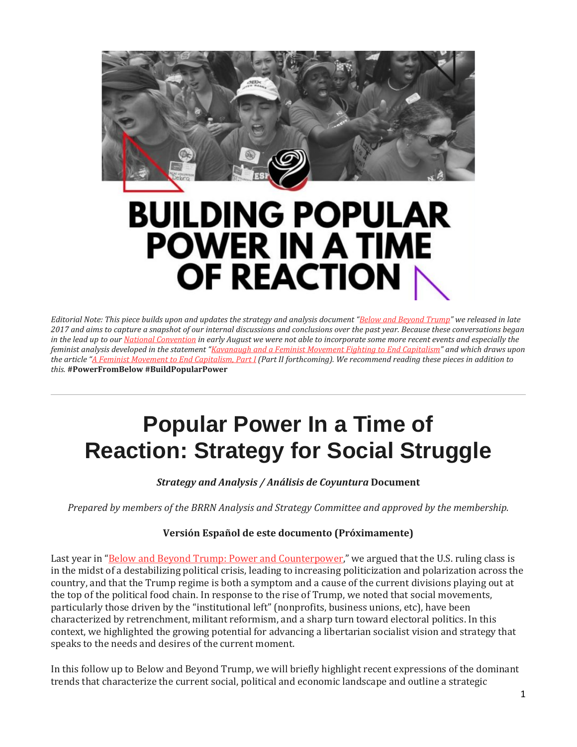

# BUILDING POPULAR **POWER IN A TIME** OF REACTION

*Editorial Note: This piece builds upon and updates the strategy and analysis document ["Below and Beyond Trump"](http://blackrosefed.org/below-and-beyond-trump/) we released in late 2017 and aims to capture a snapshot of our internal discussions and conclusions over the past year. Because these conversations began in the lead up to our [National Convention](http://blackrosefed.org/towards-strategy-popular-power-5th-convention/) in early August we were not able to incorporate some more recent events and especially the feminist analysis developed in the statement ["Kavanaugh and a Feminist Movement Fighting to End Capitalism"](http://blackrosefed.org/kananaugh-feminist-movement-end-capitalism/) and which draws upon the article ["A Feminist Movement to End Capitalism, Part I](http://blackrosefed.org/feminist-movement-to-end-capitalism-part-1/) (Part II forthcoming). We recommend reading these pieces in addition to this.* **#PowerFromBelow #BuildPopularPower**

# **Popular Power In a Time of Reaction: Strategy for Social Struggle**

*Strategy and Analysis / Análisis de Coyuntura* **Document**

*Prepared by members of the BRRN Analysis and Strategy Committee and approved by the membership.*

#### **Versión Español de este documento (Próximamente)**

Last year in ["Below and Beyond Trump: Power and Counterpower,](http://blackrosefed.org/below-and-beyond-trump/)" we argued that the U.S. ruling class is in the midst of a destabilizing political crisis, leading to increasing politicization and polarization across the country, and that the Trump regime is both a symptom and a cause of the current divisions playing out at the top of the political food chain. In response to the rise of Trump, we noted that social movements, particularly those driven by the "institutional left" (nonprofits, business unions, etc), have been characterized by retrenchment, militant reformism, and a sharp turn toward electoral politics. In this context, we highlighted the growing potential for advancing a libertarian socialist vision and strategy that speaks to the needs and desires of the current moment.

In this follow up to Below and Beyond Trump, we will briefly highlight recent expressions of the dominant trends that characterize the current social, political and economic landscape and outline a strategic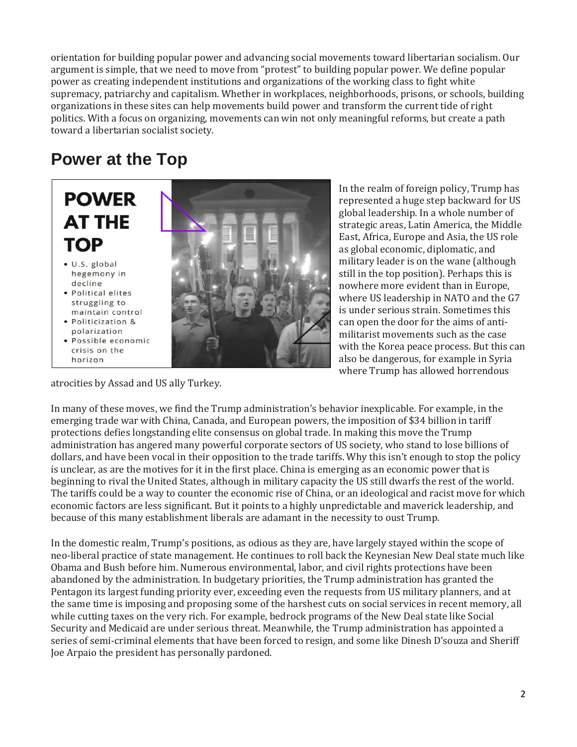orientation for building popular power and advancing social movements toward libertarian socialism. Our argument is simple, that we need to move from "protest" to building popular power. We define popular power as creating independent institutions and organizations of the working class to fight white supremacy, patriarchy and capitalism. Whether in workplaces, neighborhoods, prisons, or schools, building organizations in these sites can help movements build power and transform the current tide of right politics. With a focus on organizing, movements can win not only meaningful reforms, but create a path toward a libertarian socialist society.

# **Power at the Top**

# **POWER AT THE TOP**

- · U.S. global hegemony in decline
- Political elites struggling to maintain control
- · Politicization & polarization
- · Possible economic crisis on the horizon



In the realm of foreign policy, Trump has represented a huge step backward for US global leadership. In a whole number of strategic areas, Latin America, the Middle East, Africa, Europe and Asia, the US role as global economic, diplomatic, and military leader is on the wane (although still in the top position). Perhaps this is nowhere more evident than in Europe, where US leadership in NATO and the G7 is under serious strain. Sometimes this can open the door for the aims of antimilitarist movements such as the case with the Korea peace process. But this can also be dangerous, for example in Syria where Trump has allowed horrendous

atrocities by Assad and US ally Turkey.

In many of these moves, we find the Trump administration's behavior inexplicable. For example, in the emerging trade war with China, Canada, and European powers, the imposition of \$34 billion in tariff protections defies longstanding elite consensus on global trade. In making this move the Trump administration has angered many powerful corporate sectors of US society, who stand to lose billions of dollars, and have been vocal in their opposition to the trade tariffs. Why this isn't enough to stop the policy is unclear, as are the motives for it in the first place. China is emerging as an economic power that is beginning to rival the United States, although in military capacity the US still dwarfs the rest of the world. The tariffs could be a way to counter the economic rise of China, or an ideological and racist move for which economic factors are less significant. But it points to a highly unpredictable and maverick leadership, and because of this many establishment liberals are adamant in the necessity to oust Trump.

In the domestic realm, Trump's positions, as odious as they are, have largely stayed within the scope of neo-liberal practice of state management. He continues to roll back the Keynesian New Deal state much like Obama and Bush before him. Numerous environmental, labor, and civil rights protections have been abandoned by the administration. In budgetary priorities, the Trump administration has granted the Pentagon its largest funding priority ever, exceeding even the requests from US military planners, and at the same time is imposing and proposing some of the harshest cuts on social services in recent memory, all while cutting taxes on the very rich. For example, bedrock programs of the New Deal state like Social Security and Medicaid are under serious threat. Meanwhile, the Trump administration has appointed a series of semi-criminal elements that have been forced to resign, and some like Dinesh D'souza and Sheriff Joe Arpaio the president has personally pardoned.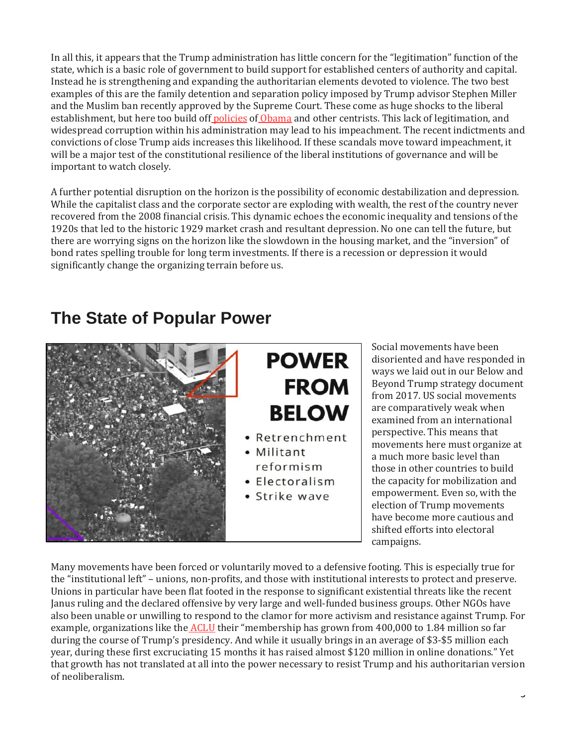In all this, it appears that the Trump administration has little concern for the "legitimation" function of the state, which is a basic role of government to build support for established centers of authority and capital. Instead he is strengthening and expanding the authoritarian elements devoted to violence. The two best examples of this are the family detention and separation policy imposed by Trump advisor Stephen Miller and the Muslim ban recently approved by the Supreme Court. These come as huge shocks to the liberal establishment, but here too build off [policies](https://www.thenation.com/article/the-deportation-machine-obama-built-for-president-trump/) of [Obama](https://qz.com/1319515/donald-trumps-immigrant-family-detention-strategy-copies-obama-child-abuses-could-follow/) and other centrists. This lack of legitimation, and widespread corruption within his administration may lead to his impeachment. The recent indictments and convictions of close Trump aids increases this likelihood. If these scandals move toward impeachment, it will be a major test of the constitutional resilience of the liberal institutions of governance and will be important to watch closely.

A further potential disruption on the horizon is the possibility of economic destabilization and depression. While the capitalist class and the corporate sector are exploding with wealth, the rest of the country never recovered from the 2008 financial crisis. This dynamic echoes the economic inequality and tensions of the 1920s that led to the historic 1929 market crash and resultant depression. No one can tell the future, but there are worrying signs on the horizon like the slowdown in the housing market, and the "inversion" of bond rates spelling trouble for long term investments. If there is a recession or depression it would significantly change the organizing terrain before us.

### **The State of Popular Power**



Social movements have been disoriented and have responded in ways we laid out in our Below and Beyond Trump strategy document from 2017. US social movements are comparatively weak when examined from an international perspective. This means that movements here must organize at a much more basic level than those in other countries to build the capacity for mobilization and empowerment. Even so, with the election of Trump movements have become more cautious and shifted efforts into electoral campaigns.

Many movements have been forced or voluntarily moved to a defensive footing. This is especially true for the "institutional left" – unions, non-profits, and those with institutional interests to protect and preserve. Unions in particular have been flat footed in the response to significant existential threats like the recent Janus ruling and the declared offensive by very large and well-funded business groups. Other NGOs have also been unable or unwilling to respond to the clamor for more activism and resistance against Trump. For example, organizations like the **[ACLU](https://nonprofitquarterly.org/2018/07/06/the-amazing-expanding-aclu-where-is-all-that-money-going/)** their "membership has grown from 400,000 to 1.84 million so far during the course of Trump's presidency. And while it usually brings in an average of \$3-\$5 million each year, during these first excruciating 15 months it has raised almost \$120 million in online donations." Yet that growth has not translated at all into the power necessary to resist Trump and his authoritarian version of neoliberalism.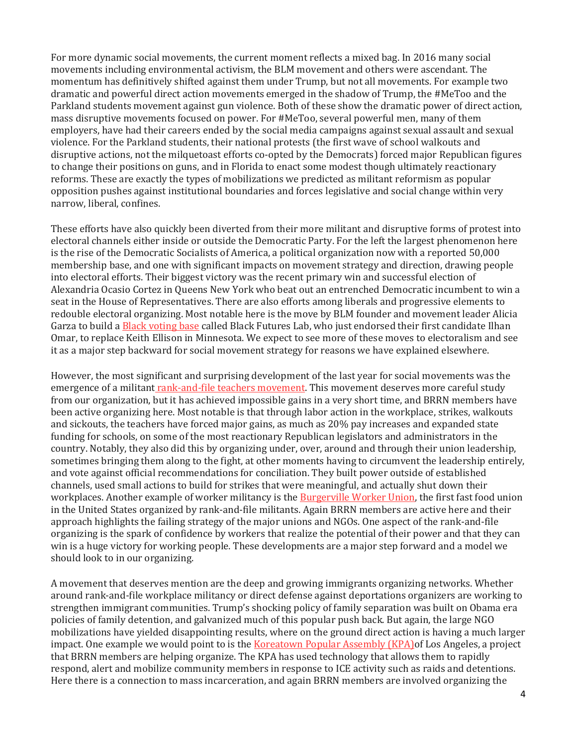For more dynamic social movements, the current moment reflects a mixed bag. In 2016 many social movements including environmental activism, the BLM movement and others were ascendant. The momentum has definitively shifted against them under Trump, but not all movements. For example two dramatic and powerful direct action movements emerged in the shadow of Trump, the #MeToo and the Parkland students movement against gun violence. Both of these show the dramatic power of direct action, mass disruptive movements focused on power. For #MeToo, several powerful men, many of them employers, have had their careers ended by the social media campaigns against sexual assault and sexual violence. For the Parkland students, their national protests (the first wave of school walkouts and disruptive actions, not the milquetoast efforts co-opted by the Democrats) forced major Republican figures to change their positions on guns, and in Florida to enact some modest though ultimately reactionary reforms. These are exactly the types of mobilizations we predicted as militant reformism as popular opposition pushes against institutional boundaries and forces legislative and social change within very narrow, liberal, confines.

These efforts have also quickly been diverted from their more militant and disruptive forms of protest into electoral channels either inside or outside the Democratic Party. For the left the largest phenomenon here is the rise of the Democratic Socialists of America, a political organization now with a reported 50,000 membership base, and one with significant impacts on movement strategy and direction, drawing people into electoral efforts. Their biggest victory was the recent primary win and successful election of Alexandria Ocasio Cortez in Queens New York who beat out an entrenched Democratic incumbent to win a seat in the House of Representatives. There are also efforts among liberals and progressive elements to redouble electoral organizing. Most notable here is the move by BLM founder and movement leader Alicia Garza to build a [Black voting](https://www.colorlines.com/articles/alicia-garza-launches-new-organization-harness-black-political-power) base called Black Futures Lab, who just endorsed their first candidate Ilhan Omar, to replace Keith Ellison in Minnesota. We expect to see more of these moves to electoralism and see it as a major step backward for social movement strategy for reasons we have explained elsewhere.

However, the most significant and surprising development of the last year for social movements was the emergence of a militant [rank-and-file teachers movement.](http://blackrosefed.org/how-west-virginia-strike-won/) This movement deserves more careful study from our organization, but it has achieved impossible gains in a very short time, and BRRN members have been active organizing here. Most notable is that through labor action in the workplace, strikes, walkouts and sickouts, the teachers have forced major gains, as much as 20% pay increases and expanded state funding for schools, on some of the most reactionary Republican legislators and administrators in the country. Notably, they also did this by organizing under, over, around and through their union leadership, sometimes bringing them along to the fight, at other moments having to circumvent the leadership entirely, and vote against official recommendations for conciliation. They built power outside of established channels, used small actions to build for strikes that were meaningful, and actually shut down their workplaces. Another example of worker militancy is the **Burgerville Worker Union**, the first fast food union in the United States organized by rank-and-file militants. Again BRRN members are active here and their approach highlights the failing strategy of the major unions and NGOs. One aspect of the rank-and-file organizing is the spark of confidence by workers that realize the potential of their power and that they can win is a huge victory for working people. These developments are a major step forward and a model we should look to in our organizing.

A movement that deserves mention are the deep and growing immigrants organizing networks. Whether around rank-and-file workplace militancy or direct defense against deportations organizers are working to strengthen immigrant communities. Trump's shocking policy of family separation was built on Obama era policies of family detention, and galvanized much of this popular push back. But again, the large NGO mobilizations have yielded disappointing results, where on the ground direct action is having a much larger impact. One example we would point to is the [Koreatown Popular Assembly](http://blackrosefed.org/kpa-shut-down-ice/) (KPA) of Los Angeles, a project that BRRN members are helping organize. The KPA has used technology that allows them to rapidly respond, alert and mobilize community members in response to ICE activity such as raids and detentions. Here there is a connection to mass incarceration, and again BRRN members are involved organizing the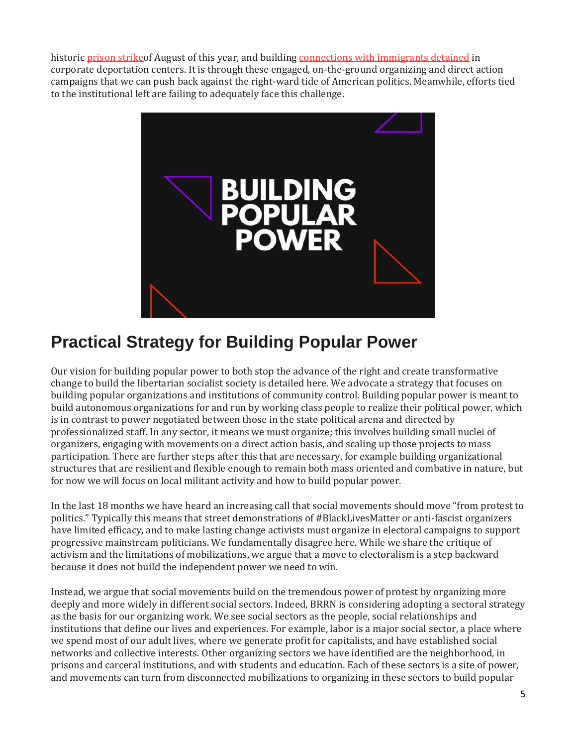historic prison strike of August of this year, and building [connections with immigrants detained](http://blackrosefed.org/interview-luis-ice-austin/) in corporate deportation centers. It is through these engaged, on-the-ground organizing and direct action campaigns that we can push back against the right-ward tide of American politics. Meanwhile, efforts tied to the institutional left are failing to adequately face this challenge.



# **Practical Strategy for Building Popular Power**

Our vision for building popular power to both stop the advance of the right and create transformative change to build the libertarian socialist society is detailed here. We advocate a strategy that focuses on building popular organizations and institutions of community control. Building popular power is meant to build autonomous organizations for and run by working class people to realize their political power, which is in contrast to power negotiated between those in the state political arena and directed by professionalized staff. In any sector, it means we must organize; this involves building small nuclei of organizers, engaging with movements on a direct action basis, and scaling up those projects to mass participation. There are further steps after this that are necessary, for example building organizational structures that are resilient and flexible enough to remain both mass oriented and combative in nature, but for now we will focus on local militant activity and how to build popular power.

In the last 18 months we have heard an increasing call that social movements should move "from protest to politics." Typically this means that street demonstrations of #BlackLivesMatter or anti-fascist organizers have limited efficacy, and to make lasting change activists must organize in electoral campaigns to support progressive mainstream politicians. We fundamentally disagree here. While we share the critique of activism and the limitations of mobilizations, we argue that a move to electoralism is a step backward because it does not build the independent power we need to win.

Instead, we argue that social movements build on the tremendous power of protest by organizing more deeply and more widely in different social sectors. Indeed, BRRN is considering adopting a sectoral strategy as the basis for our organizing work. We see social sectors as the people, social relationships and institutions that define our lives and experiences. For example, labor is a major social sector, a place where we spend most of our adult lives, where we generate profit for capitalists, and have established social networks and collective interests. Other organizing sectors we have identified are the neighborhood, in prisons and carceral institutions, and with students and education. Each of these sectors is a site of power, and movements can turn from disconnected mobilizations to organizing in these sectors to build popular